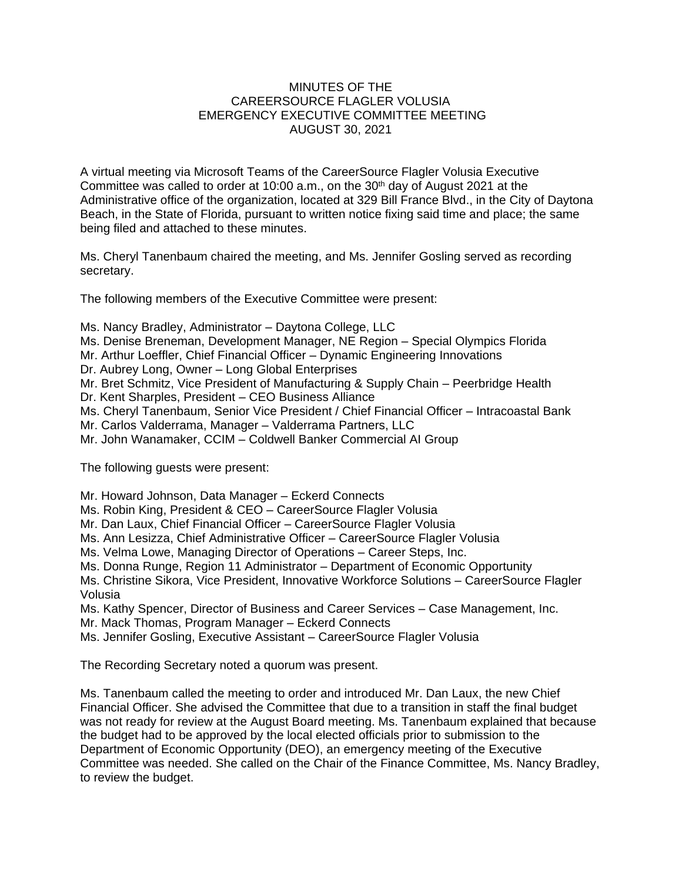## MINUTES OF THE CAREERSOURCE FLAGLER VOLUSIA EMERGENCY EXECUTIVE COMMITTEE MEETING AUGUST 30, 2021

A virtual meeting via Microsoft Teams of the CareerSource Flagler Volusia Executive Committee was called to order at 10:00 a.m., on the  $30<sup>th</sup>$  day of August 2021 at the Administrative office of the organization, located at 329 Bill France Blvd., in the City of Daytona Beach, in the State of Florida, pursuant to written notice fixing said time and place; the same being filed and attached to these minutes.

Ms. Cheryl Tanenbaum chaired the meeting, and Ms. Jennifer Gosling served as recording secretary.

The following members of the Executive Committee were present:

Ms. Nancy Bradley, Administrator – Daytona College, LLC Ms. Denise Breneman, Development Manager, NE Region – Special Olympics Florida Mr. Arthur Loeffler, Chief Financial Officer – Dynamic Engineering Innovations Dr. Aubrey Long, Owner – Long Global Enterprises Mr. Bret Schmitz, Vice President of Manufacturing & Supply Chain – Peerbridge Health Dr. Kent Sharples, President – CEO Business Alliance Ms. Cheryl Tanenbaum, Senior Vice President / Chief Financial Officer – Intracoastal Bank Mr. Carlos Valderrama, Manager – Valderrama Partners, LLC Mr. John Wanamaker, CCIM – Coldwell Banker Commercial AI Group

The following guests were present:

Mr. Howard Johnson, Data Manager – Eckerd Connects

Ms. Robin King, President & CEO – CareerSource Flagler Volusia

Mr. Dan Laux, Chief Financial Officer – CareerSource Flagler Volusia

Ms. Ann Lesizza, Chief Administrative Officer – CareerSource Flagler Volusia

Ms. Velma Lowe, Managing Director of Operations – Career Steps, Inc.

Ms. Donna Runge, Region 11 Administrator – Department of Economic Opportunity

Ms. Christine Sikora, Vice President, Innovative Workforce Solutions – CareerSource Flagler Volusia

Ms. Kathy Spencer, Director of Business and Career Services – Case Management, Inc.

Mr. Mack Thomas, Program Manager – Eckerd Connects

Ms. Jennifer Gosling, Executive Assistant – CareerSource Flagler Volusia

The Recording Secretary noted a quorum was present.

Ms. Tanenbaum called the meeting to order and introduced Mr. Dan Laux, the new Chief Financial Officer. She advised the Committee that due to a transition in staff the final budget was not ready for review at the August Board meeting. Ms. Tanenbaum explained that because the budget had to be approved by the local elected officials prior to submission to the Department of Economic Opportunity (DEO), an emergency meeting of the Executive Committee was needed. She called on the Chair of the Finance Committee, Ms. Nancy Bradley, to review the budget.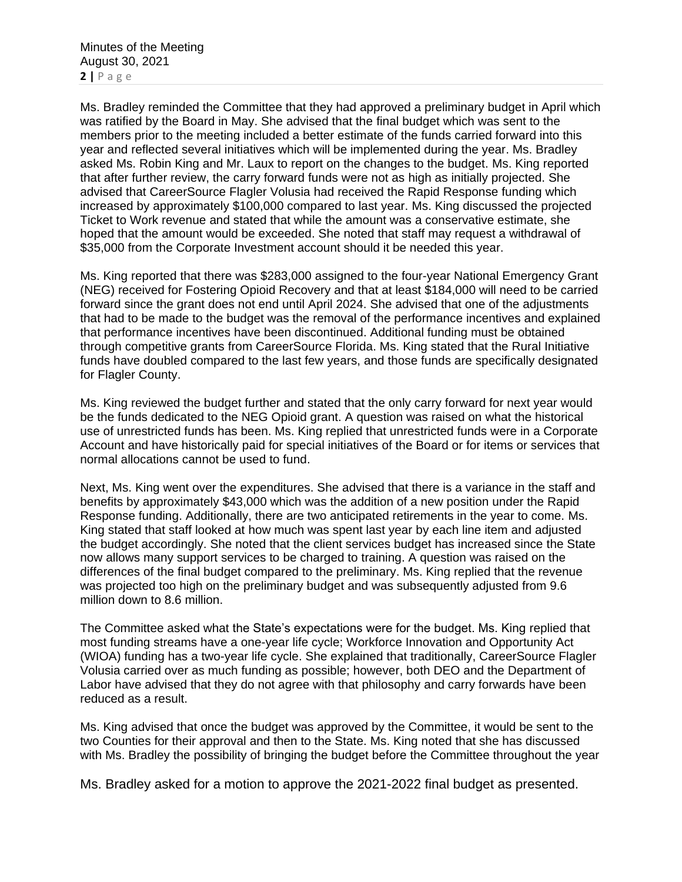Ms. Bradley reminded the Committee that they had approved a preliminary budget in April which was ratified by the Board in May. She advised that the final budget which was sent to the members prior to the meeting included a better estimate of the funds carried forward into this year and reflected several initiatives which will be implemented during the year. Ms. Bradley asked Ms. Robin King and Mr. Laux to report on the changes to the budget. Ms. King reported that after further review, the carry forward funds were not as high as initially projected. She advised that CareerSource Flagler Volusia had received the Rapid Response funding which increased by approximately \$100,000 compared to last year. Ms. King discussed the projected Ticket to Work revenue and stated that while the amount was a conservative estimate, she hoped that the amount would be exceeded. She noted that staff may request a withdrawal of \$35,000 from the Corporate Investment account should it be needed this year.

Ms. King reported that there was \$283,000 assigned to the four-year National Emergency Grant (NEG) received for Fostering Opioid Recovery and that at least \$184,000 will need to be carried forward since the grant does not end until April 2024. She advised that one of the adjustments that had to be made to the budget was the removal of the performance incentives and explained that performance incentives have been discontinued. Additional funding must be obtained through competitive grants from CareerSource Florida. Ms. King stated that the Rural Initiative funds have doubled compared to the last few years, and those funds are specifically designated for Flagler County.

Ms. King reviewed the budget further and stated that the only carry forward for next year would be the funds dedicated to the NEG Opioid grant. A question was raised on what the historical use of unrestricted funds has been. Ms. King replied that unrestricted funds were in a Corporate Account and have historically paid for special initiatives of the Board or for items or services that normal allocations cannot be used to fund.

Next, Ms. King went over the expenditures. She advised that there is a variance in the staff and benefits by approximately \$43,000 which was the addition of a new position under the Rapid Response funding. Additionally, there are two anticipated retirements in the year to come. Ms. King stated that staff looked at how much was spent last year by each line item and adjusted the budget accordingly. She noted that the client services budget has increased since the State now allows many support services to be charged to training. A question was raised on the differences of the final budget compared to the preliminary. Ms. King replied that the revenue was projected too high on the preliminary budget and was subsequently adjusted from 9.6 million down to 8.6 million.

The Committee asked what the State's expectations were for the budget. Ms. King replied that most funding streams have a one-year life cycle; Workforce Innovation and Opportunity Act (WIOA) funding has a two-year life cycle. She explained that traditionally, CareerSource Flagler Volusia carried over as much funding as possible; however, both DEO and the Department of Labor have advised that they do not agree with that philosophy and carry forwards have been reduced as a result.

Ms. King advised that once the budget was approved by the Committee, it would be sent to the two Counties for their approval and then to the State. Ms. King noted that she has discussed with Ms. Bradley the possibility of bringing the budget before the Committee throughout the year

Ms. Bradley asked for a motion to approve the 2021-2022 final budget as presented.